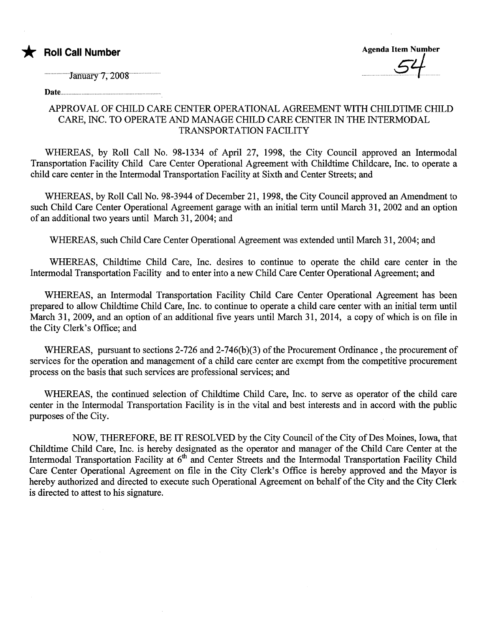

Agenda Item Number 54

January 7, 2008

Date...........

## APPROVAL OF CHILD CARE CENTER OPERATIONAL AGREEMENT WITH CHILDTIME CHILD CARE, INC. TO OPERATE AND MANAGE CHILD CARE CENTER IN THE INTERMODAL TRANSPORTATION FACILITY

WHEREAS, by Roll Call No. 98-1334 of April 27, 1998, the City Council approved an Intermodal Transportation Facility Child Care Center Operational Agreement with Childtime Childcare, Inc. to operate a child care center in the Intermodal Transportation Facility at Sixth and Center Streets; and

WHEREAS, by Roll Call No. 98-3944 of December 21, 1998, the City Council approved an Amendment to such Child Care Center Operational Agreement garage with an initial term until March 31, 2002 and an option of an additional two years until March 31, 2004; and

WHEREAS, such Child Care Center Operational Agreement was extended until March 31, 2004; and

WHEREAS, Childtime Child Care, Inc. desires to continue to operate the child care center in the Intermodal Transportation Facilty and to enter into a new Child Care Center Operational Agreement; and

WHEREAS, an Intermodal Transportation Facility Child Care Center Operational Agreement has been prepared to allow Childtime Child Care, Inc. to continue to operate a child care center with an intial term until March 31, 2009, and an option of an additional five years until March 31, 2014, a copy of which is on file in the City Clerk's Office; and

WHEREAS, pursuant to sections 2-726 and 2-746(b)(3) of the Procurement Ordinance, the procurement of services for the operation and management of a child care center are exempt from the competitive procurement process on the basis that such services are professional services; and

WHEREAS, the continued selection of Childtime Child Care, Inc. to serve as operator of the child care center in the Intermodal Transportation Facility is in the vital and best interests and in accord with the public puroses of the City.

NOW, THEREFORE, BE IT RESOLVED by the City Council of the City of Des Moines, Iowa, that Childtime Child Care, Inc. is hereby designated as the operator and manager of the Child Care Center at the Intermodal Transportation Facility at 6<sup>th</sup> and Center Streets and the Intermodal Transportation Facility Child Care Center Operational Agreement on file in the City Clerk's Office is hereby approved and the Mayor is hereby authorized and directed to execute such Operational Agreement on behalf of the City and the City Clerk is directed to attest to his signatue.